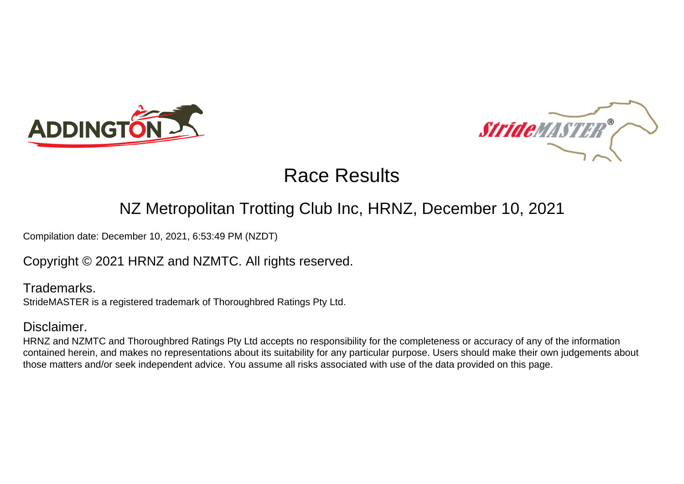



#### NZ Metropolitan Trotting Club Inc, HRNZ, December 10, 2021

Compilation date: December 10, 2021, 6:53:49 PM (NZDT)

Copyright © 2021 HRNZ and NZMTC. All rights reserved.

Trademarks. StrideMASTER is a registered trademark of Thoroughbred Ratings Pty Ltd.

#### Disclaimer.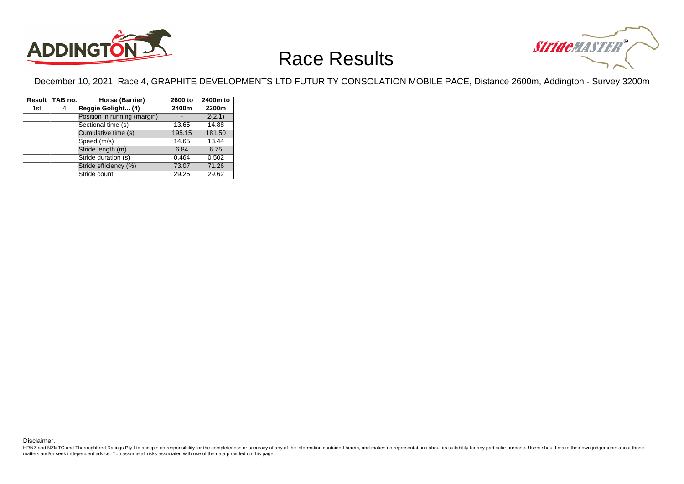



December 10, 2021, Race 4, GRAPHITE DEVELOPMENTS LTD FUTURITY CONSOLATION MOBILE PACE, Distance 2600m, Addington - Survey 3200m

|     | Result TAB no. | Horse (Barrier)              | 2600 to | 2400m to |
|-----|----------------|------------------------------|---------|----------|
| 1st | 4              | Reggie Golight (4)           | 2400m   | 2200m    |
|     |                | Position in running (margin) |         | 2(2.1)   |
|     |                | Sectional time (s)           | 13.65   | 14.88    |
|     |                | Cumulative time (s)          | 195.15  | 181.50   |
|     |                | Speed (m/s)                  | 14.65   | 13.44    |
|     |                | Stride length (m)            | 6.84    | 6.75     |
|     |                | Stride duration (s)          | 0.464   | 0.502    |
|     |                | Stride efficiency (%)        | 73.07   | 71.26    |
|     |                | Stride count                 | 29.25   | 29.62    |

Disclaimer.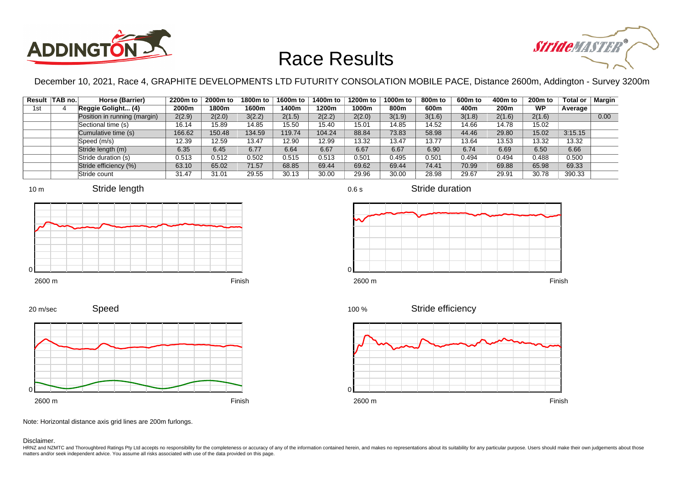



December 10, 2021, Race 4, GRAPHITE DEVELOPMENTS LTD FUTURITY CONSOLATION MOBILE PACE, Distance 2600m, Addington - Survey 3200m

0.6 s

 $\Omega$ 

|     | Result TAB no. | Horse (Barrier)              | 2200m to | 2000m to | 1800m to | 1600m to | 1400m to | 1200m to | 1000m to | 800m to | 600m to | 400m to | 200 <sub>m</sub> to | <b>Total or</b> | Margin |
|-----|----------------|------------------------------|----------|----------|----------|----------|----------|----------|----------|---------|---------|---------|---------------------|-----------------|--------|
| 1st |                | Reggie Golight (4)           | 2000m    | 1800m    | 1600m    | 1400m    | 1200m    | 1000m    | 800m     | 600m    | 400m    | 200m    | <b>WP</b>           | Average         |        |
|     |                | Position in running (margin) | 2(2.9)   | 2(2.0)   | 3(2.2)   | 2(1.5)   | 2(2.2)   | 2(2.0)   | 3(1.9)   | 3(1.6)  | 3(1.8)  | 2(1.6)  | 2(1.6)              |                 | 0.00   |
|     |                | Sectional time (s)           | 16.14    | 15.89    | 14.85    | 15.50    | 15.40    | 15.01    | 14.85    | 14.52   | 14.66   | 14.78   | 15.02               |                 |        |
|     |                | Cumulative time (s)          | 166.62   | 150.48   | 134.59   | 119.74   | 104.24   | 88.84    | 73.83    | 58.98   | 44.46   | 29.80   | 15.02               | 3:15.15         |        |
|     |                | Speed (m/s)                  | 12.39    | 12.59    | 13.47    | 12.90    | 12.99    | 13.32    | 13.47    | 13.77   | 13.64   | 13.53   | 13.32               | 13.32           |        |
|     |                | Stride length (m)            | 6.35     | 6.45     | 6.77     | 6.64     | 6.67     | 6.67     | 6.67     | 6.90    | 6.74    | 6.69    | 6.50                | 6.66            |        |
|     |                | Stride duration (s)          | 0.513    | 0.512    | 0.502    | 0.515    | 0.513    | 0.501    | 0.495    | 0.501   | 0.494   | 0.494   | 0.488               | 0.500           |        |
|     |                | Stride efficiency (%)        | 63.10    | 65.02    | 71.57    | 68.85    | 69.44    | 69.62    | 69.44    | 74.41   | 70.99   | 69.88   | 65.98               | 69.33           |        |
|     |                | Stride count                 | 31.47    | 31.01    | 29.55    | 30.13    | 30.00    | 29.96    | 30.00    | 28.98   | 29.67   | 29.91   | 30.78               | 390.33          |        |









Stride duration







Speed 20 m/sec



Note: Horizontal distance axis grid lines are 200m furlongs.

Disclaimer.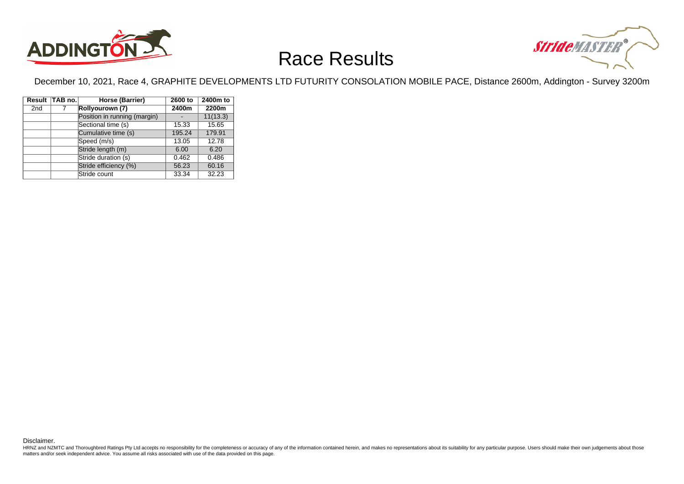



December 10, 2021, Race 4, GRAPHITE DEVELOPMENTS LTD FUTURITY CONSOLATION MOBILE PACE, Distance 2600m, Addington - Survey 3200m

|                 | Result TAB no. | Horse (Barrier)              | 2600 to | 2400m to |
|-----------------|----------------|------------------------------|---------|----------|
| 2 <sub>nd</sub> |                | Rollyourown (7)              | 2400m   | 2200m    |
|                 |                | Position in running (margin) |         | 11(13.3) |
|                 |                | Sectional time (s)           | 15.33   | 15.65    |
|                 |                | Cumulative time (s)          | 195.24  | 179.91   |
|                 |                | Speed (m/s)                  | 13.05   | 12.78    |
|                 |                | Stride length (m)            | 6.00    | 6.20     |
|                 |                | Stride duration (s)          | 0.462   | 0.486    |
|                 |                | Stride efficiency (%)        | 56.23   | 60.16    |
|                 |                | Stride count                 | 33.34   | 32.23    |

Disclaimer.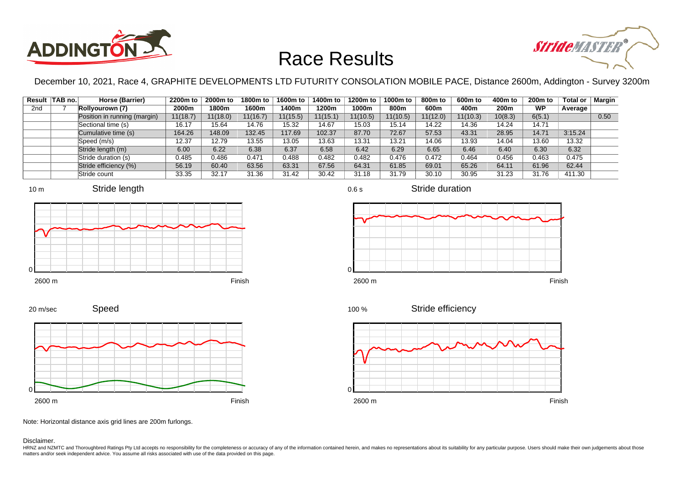



December 10, 2021, Race 4, GRAPHITE DEVELOPMENTS LTD FUTURITY CONSOLATION MOBILE PACE, Distance 2600m, Addington - Survey 3200m

|                 | Result   TAB no. | Horse (Barrier)              | 2200m to | 2000m to | 1800m to | 1600m to | 1400m to | 1200m to | 1000m to | 800m to  | 600m to  | 400m to | 200 <sub>m</sub> to | Total or | Margin |
|-----------------|------------------|------------------------------|----------|----------|----------|----------|----------|----------|----------|----------|----------|---------|---------------------|----------|--------|
| 2 <sub>nd</sub> |                  | Rollyourown (7)              | 2000m    | 1800m    | 1600m    | 1400m    | 1200m    | 1000m    | 800m     | 600m     | 400m     | 200m    | <b>WP</b>           | Average  |        |
|                 |                  | Position in running (margin) | 11(18.7) | 11(18.0) | 11(16.7) | 11(15.5) | 11(15.1) | 11(10.5) | 11(10.5) | 11(12.0) | 11(10.3) | 10(8.3) | 6(5.1)              |          | 0.50   |
|                 |                  | Sectional time (s)           | 16.17    | 15.64    | 14.76    | 15.32    | 14.67    | 15.03    | 15.14    | 14.22    | 14.36    | 14.24   | 14.71               |          |        |
|                 |                  | Cumulative time (s)          | 164.26   | 148.09   | 132.45   | 117.69   | 102.37   | 87.70    | 72.67    | 57.53    | 43.31    | 28.95   | 14.71               | 3:15.24  |        |
|                 |                  | Speed (m/s)                  | 12.37    | 12.79    | 13.55    | 13.05    | 13.63    | 13.31    | 13.21    | 14.06    | 13.93    | 14.04   | 13.60               | 13.32    |        |
|                 |                  | Stride length (m)            | 6.00     | 6.22     | 6.38     | 6.37     | 6.58     | 6.42     | 6.29     | 6.65     | 6.46     | 6.40    | 6.30                | 6.32     |        |
|                 |                  | Stride duration (s)          | 0.485    | 0.486    | 0.471    | 0.488    | 0.482    | 0.482    | 0.476    | 0.472    | 0.464    | 0.456   | 0.463               | 0.475    |        |
|                 |                  | Stride efficiency (%)        | 56.19    | 60.40    | 63.56    | 63.31    | 67.56    | 64.31    | 61.85    | 69.01    | 65.26    | 64.11   | 61.96               | 62.44    |        |
|                 |                  | Stride count                 | 33.35    | 32.17    | 31.36    | 31.42    | 30.42    | 31.18    | 31.79    | 30.10    | 30.95    | 31.23   | 31.76               | 411.30   |        |









2600 m Finish





Note: Horizontal distance axis grid lines are 200m furlongs.

Disclaimer.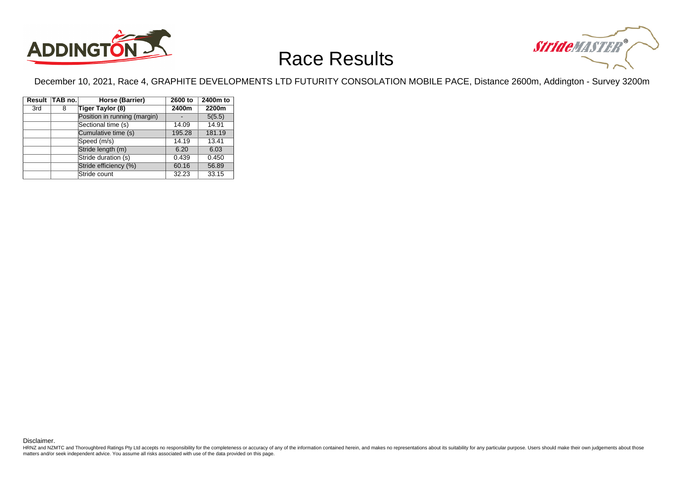



December 10, 2021, Race 4, GRAPHITE DEVELOPMENTS LTD FUTURITY CONSOLATION MOBILE PACE, Distance 2600m, Addington - Survey 3200m

|     | Result TAB no. | Horse (Barrier)              | 2600 to | 2400m to |
|-----|----------------|------------------------------|---------|----------|
| 3rd | 8              | Tiger Taylor (8)             | 2400m   | 2200m    |
|     |                | Position in running (margin) |         | 5(5.5)   |
|     |                | Sectional time (s)           | 14.09   | 14.91    |
|     |                | Cumulative time (s)          | 195.28  | 181.19   |
|     |                | Speed (m/s)                  | 14.19   | 13.41    |
|     |                | Stride length (m)            | 6.20    | 6.03     |
|     |                | Stride duration (s)          | 0.439   | 0.450    |
|     |                | Stride efficiency (%)        | 60.16   | 56.89    |
|     |                | Stride count                 | 32.23   | 33.15    |

Disclaimer.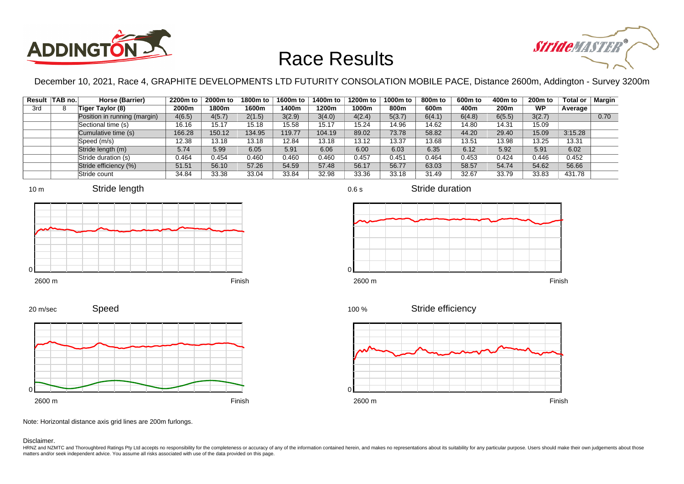



December 10, 2021, Race 4, GRAPHITE DEVELOPMENTS LTD FUTURITY CONSOLATION MOBILE PACE, Distance 2600m, Addington - Survey 3200m

0.6 s

|     | Result   TAB no. | Horse (Barrier)              | 2200m to | 2000m to | 1800m to | 1600m to | 1400m to | 1200m to | 1000m to | 800m to | 600m to | 400m to | 200m to   | <b>Total or</b> | Margin |
|-----|------------------|------------------------------|----------|----------|----------|----------|----------|----------|----------|---------|---------|---------|-----------|-----------------|--------|
| 3rd |                  | Tiger Taylor (8)             | 2000m    | 1800m    | 1600m    | 1400m    | 1200m    | 1000m    | 800m     | 600m    | 400m    | 200m    | <b>WP</b> | Average         |        |
|     |                  | Position in running (margin) | 4(6.5)   | 4(5.7)   | 2(1.5)   | 3(2.9)   | 3(4.0)   | 4(2.4)   | 5(3.7)   | 6(4.1)  | 6(4.8)  | 6(5.5)  | 3(2.7)    |                 | 0.70   |
|     |                  | Sectional time (s)           | 16.16    | 15.17    | 15.18    | 15.58    | 15.17    | 15.24    | 14.96    | 14.62   | 14.80   | 14.31   | 15.09     |                 |        |
|     |                  | Cumulative time (s)          | 166.28   | 150.12   | 134.95   | 119.77   | 104.19   | 89.02    | 73.78    | 58.82   | 44.20   | 29.40   | 15.09     | 3:15.28         |        |
|     |                  | Speed (m/s)                  | 12.38    | 13.18    | 13.18    | 12.84    | 13.18    | 13.12    | 13.37    | 13.68   | 13.51   | 13.98   | 13.25     | 13.31           |        |
|     |                  | Stride length (m)            | 5.74     | 5.99     | 6.05     | 5.91     | 6.06     | 6.00     | 6.03     | 6.35    | 6.12    | 5.92    | 5.91      | 6.02            |        |
|     |                  | Stride duration (s)          | 0.464    | 0.454    | 0.460    | 0.460    | 0.460    | 0.457    | 0.451    | 0.464   | 0.453   | 0.424   | 0.446     | 0.452           |        |
|     |                  | Stride efficiency (%)        | 51.51    | 56.10    | 57.26    | 54.59    | 57.48    | 56.17    | 56.77    | 63.03   | 58.57   | 54.74   | 54.62     | 56.66           |        |
|     |                  | Stride count                 | 34.84    | 33.38    | 33.04    | 33.84    | 32.98    | 33.36    | 33.18    | 31.49   | 32.67   | 33.79   | 33.83     | 431.78          |        |







Stride duration



Speed







Note: Horizontal distance axis grid lines are 200m furlongs.

Disclaimer.

20 m/sec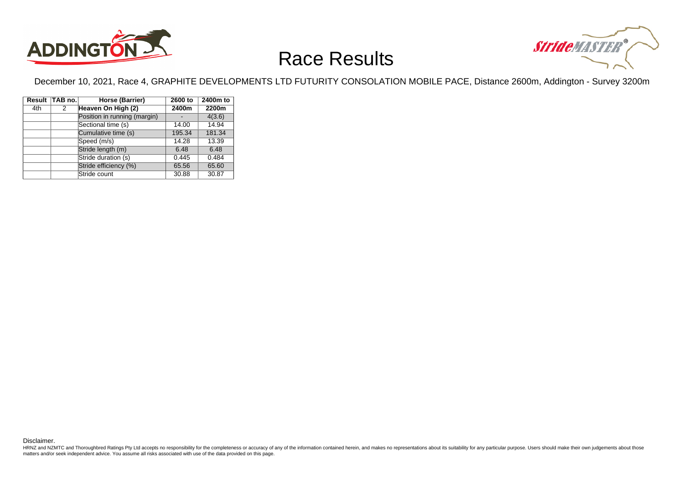



December 10, 2021, Race 4, GRAPHITE DEVELOPMENTS LTD FUTURITY CONSOLATION MOBILE PACE, Distance 2600m, Addington - Survey 3200m

|     | Result TAB no. | Horse (Barrier)              | 2600 to | 2400m to |
|-----|----------------|------------------------------|---------|----------|
| 4th | 2              | Heaven On High (2)           | 2400m   | 2200m    |
|     |                | Position in running (margin) |         | 4(3.6)   |
|     |                | Sectional time (s)           | 14.00   | 14.94    |
|     |                | Cumulative time (s)          | 195.34  | 181.34   |
|     |                | Speed (m/s)                  | 14.28   | 13.39    |
|     |                | Stride length (m)            | 6.48    | 6.48     |
|     |                | Stride duration (s)          | 0.445   | 0.484    |
|     |                | Stride efficiency (%)        | 65.56   | 65.60    |
|     |                | Stride count                 | 30.88   | 30.87    |

Disclaimer.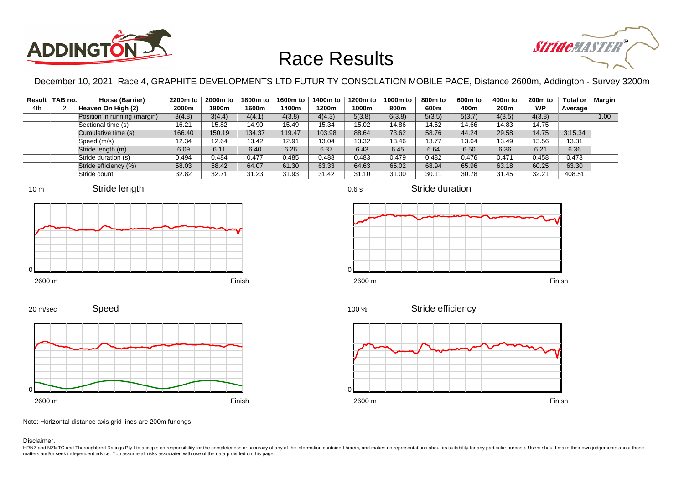



December 10, 2021, Race 4, GRAPHITE DEVELOPMENTS LTD FUTURITY CONSOLATION MOBILE PACE, Distance 2600m, Addington - Survey 3200m

| Result | ∣TAB no.∣ | Horse (Barrier)              | 2200m to | 2000m to | 1800m to | 1600m to | 1400m to | 1200m to | 1000m to | 800 <sub>m</sub> to | 600m to | 400m to | 200 <sub>m</sub> to | Total or | Margin |
|--------|-----------|------------------------------|----------|----------|----------|----------|----------|----------|----------|---------------------|---------|---------|---------------------|----------|--------|
| 4th    |           | Heaven On High (2)           | 2000m    | 1800m    | 1600m    | 1400m    | 1200m    | 1000m    | 800m     | 600m                | 400m    | 200m    | <b>WP</b>           | Average  |        |
|        |           | Position in running (margin) | 3(4.8)   | 3(4.4)   | 4(4.1)   | 4(3.8)   | 4(4.3)   | 5(3.8)   | 6(3.8)   | 5(3.5)              | 5(3.7)  | 4(3.5)  | 4(3.8)              |          | 1.00   |
|        |           | Sectional time (s)           | 16.21    | 15.82    | 14.90    | 15.49    | 15.34    | 15.02    | 14.86    | 14.52               | 14.66   | 14.83   | 14.75               |          |        |
|        |           | Cumulative time (s)          | 166.40   | 150.19   | 134.37   | 119.47   | 103.98   | 88.64    | 73.62    | 58.76               | 44.24   | 29.58   | 14.75               | 3:15.34  |        |
|        |           | Speed (m/s)                  | 12.34    | 12.64    | 13.42    | 12.91    | 13.04    | 13.32    | 13.46    | 13.77               | 13.64   | 13.49   | 13.56               | 13.31    |        |
|        |           | Stride length (m)            | 6.09     | 6.11     | 6.40     | 6.26     | 6.37     | 6.43     | 6.45     | 6.64                | 6.50    | 6.36    | 6.21                | 6.36     |        |
|        |           | Stride duration (s)          | 0.494    | 0.484    | 0.477    | 0.485    | 0.488    | 0.483    | 0.479    | 0.482               | 0.476   | 0.471   | 0.458               | 0.478    |        |
|        |           | Stride efficiency (%)        | 58.03    | 58.42    | 64.07    | 61.30    | 63.33    | 64.63    | 65.02    | 68.94               | 65.96   | 63.18   | 60.25               | 63.30    |        |
|        |           | Stride count                 | 32.82    | 32.71    | 31.23    | 31.93    | 31.42    | 31.10    | 31.00    | 30.11               | 30.78   | 31.45   | 32.21               | 408.51   |        |



















Note: Horizontal distance axis grid lines are 200m furlongs.

Disclaimer.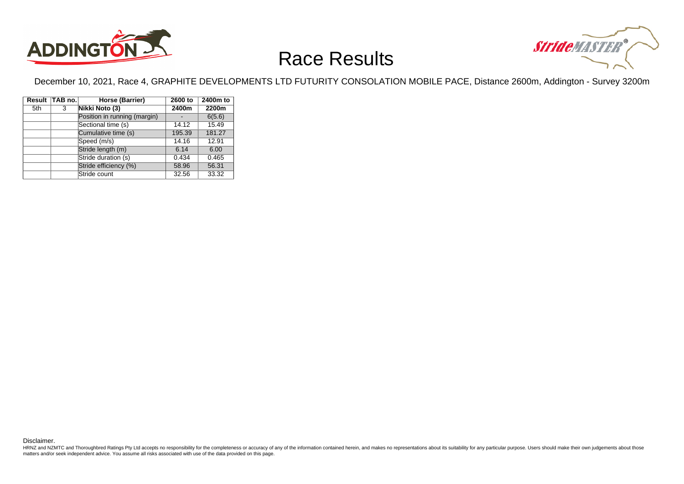



December 10, 2021, Race 4, GRAPHITE DEVELOPMENTS LTD FUTURITY CONSOLATION MOBILE PACE, Distance 2600m, Addington - Survey 3200m

|     | Result TAB no. | Horse (Barrier)              | 2600 to | 2400m to |
|-----|----------------|------------------------------|---------|----------|
| 5th | 3              | Nikki Noto (3)               | 2400m   | 2200m    |
|     |                | Position in running (margin) |         | 6(5.6)   |
|     |                | Sectional time (s)           | 14.12   | 15.49    |
|     |                | Cumulative time (s)          | 195.39  | 181.27   |
|     |                | Speed (m/s)                  | 14.16   | 12.91    |
|     |                | Stride length (m)            | 6.14    | 6.00     |
|     |                | Stride duration (s)          | 0.434   | 0.465    |
|     |                | Stride efficiency (%)        | 58.96   | 56.31    |
|     |                | Stride count                 | 32.56   | 33.32    |

Disclaimer.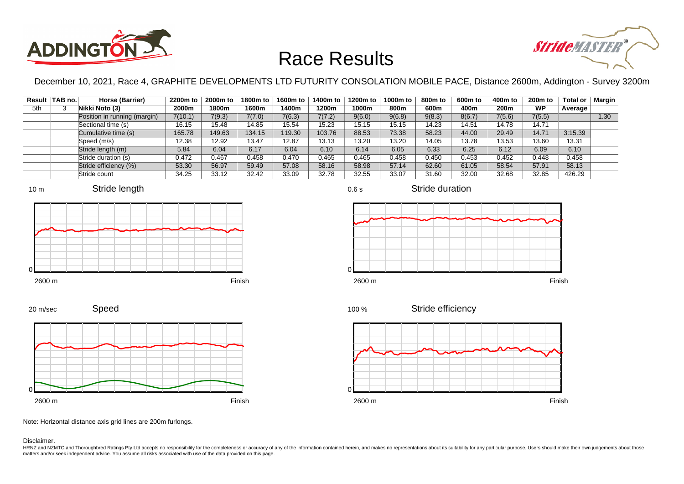



December 10, 2021, Race 4, GRAPHITE DEVELOPMENTS LTD FUTURITY CONSOLATION MOBILE PACE, Distance 2600m, Addington - Survey 3200m

|     | Result TAB no. | Horse (Barrier)              | 2200m to | 2000m to | 1800m to | 1600m to | 1400m to | 1200m to | 1000m to | 800m to | 600m to | 400m to | 200m to   | <b>Total or</b> | <b>Margin</b> |
|-----|----------------|------------------------------|----------|----------|----------|----------|----------|----------|----------|---------|---------|---------|-----------|-----------------|---------------|
| 5th |                | Nikki Noto (3)               | 2000m    | 1800m    | 1600m    | 1400m    | 1200m    | 1000m    | 800m     | 600m    | 400m    | 200m    | <b>WP</b> | Average         |               |
|     |                | Position in running (margin) | 7(10.1)  | 7(9.3)   | 7(7.0)   | 7(6.3)   | 7(7.2)   | 9(6.0)   | 9(6.8)   | 9(8.3)  | 8(6.7)  | 7(5.6)  | 7(5.5)    |                 | 1.30          |
|     |                | Sectional time (s)           | 16.15    | 15.48    | 14.85    | 15.54    | 15.23    | 15.15    | 15.15    | 14.23   | 14.51   | 14.78   | 14.71     |                 |               |
|     |                | Cumulative time (s)          | 165.78   | 149.63   | 134.15   | 119.30   | 103.76   | 88.53    | 73.38    | 58.23   | 44.00   | 29.49   | 14.71     | 3:15.39         |               |
|     |                | Speed (m/s)                  | 12.38    | 12.92    | 13.47    | 12.87    | 13.13    | 13.20    | 13.20    | 14.05   | 13.78   | 13.53   | 13.60     | 13.31           |               |
|     |                | Stride length (m)            | 5.84     | 6.04     | 6.17     | 6.04     | 6.10     | 6.14     | 6.05     | 6.33    | 6.25    | 6.12    | 6.09      | 6.10            |               |
|     |                | Stride duration (s)          | 0.472    | 0.467    | 0.458    | 0.470    | 0.465    | 0.465    | 0.458    | 0.450   | 0.453   | 0.452   | 0.448     | 0.458           |               |
|     |                | Stride efficiency (%)        | 53.30    | 56.97    | 59.49    | 57.08    | 58.16    | 58.98    | 57.14    | 62.60   | 61.05   | 58.54   | 57.91     | 58.13           |               |
|     |                | Stride count                 | 34.25    | 33.12    | 32.42    | 33.09    | 32.78    | 32.55    | 33.07    | 31.60   | 32.00   | 32.68   | 32.85     | 426.29          |               |







0.6 s

Stride duration



Stride efficiency 100 %



Speed 20 m/sec



Note: Horizontal distance axis grid lines are 200m furlongs.

Disclaimer.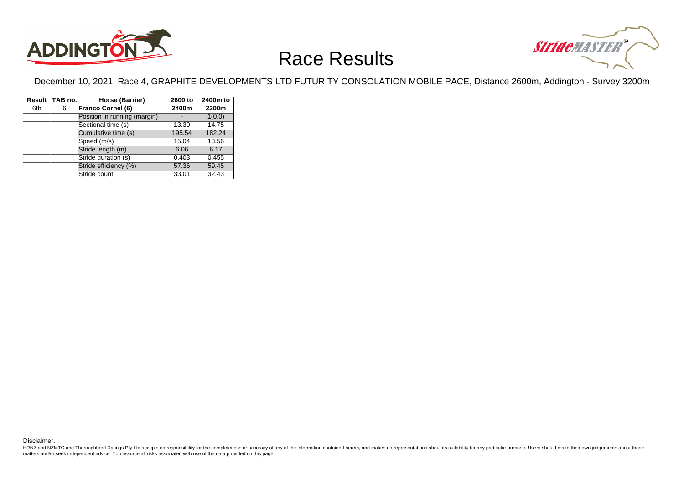



December 10, 2021, Race 4, GRAPHITE DEVELOPMENTS LTD FUTURITY CONSOLATION MOBILE PACE, Distance 2600m, Addington - Survey 3200m

|     | Result TAB no. | Horse (Barrier)              | 2600 to | 2400m to |
|-----|----------------|------------------------------|---------|----------|
| 6th | 6              | <b>Franco Cornel (6)</b>     | 2400m   | 2200m    |
|     |                | Position in running (margin) |         | 1(0.0)   |
|     |                | Sectional time (s)           | 13.30   | 14.75    |
|     |                | Cumulative time (s)          | 195.54  | 182.24   |
|     |                | Speed (m/s)                  | 15.04   | 13.56    |
|     |                | Stride length (m)            | 6.06    | 6.17     |
|     |                | Stride duration (s)          | 0.403   | 0.455    |
|     |                | Stride efficiency (%)        | 57.36   | 59.45    |
|     |                | Stride count                 | 33.01   | 32.43    |

Disclaimer.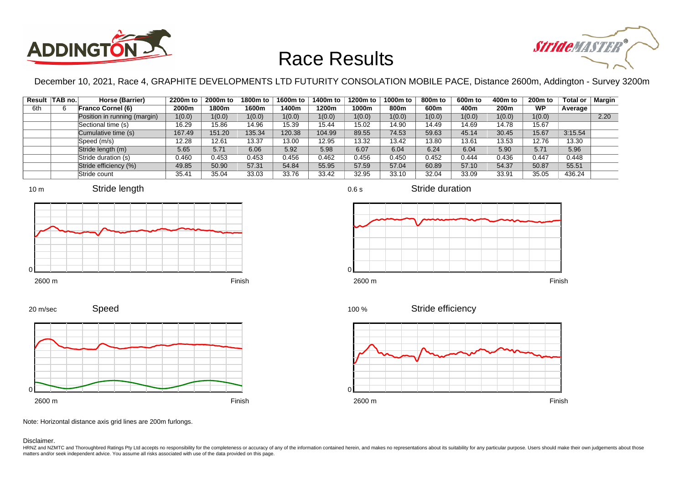



December 10, 2021, Race 4, GRAPHITE DEVELOPMENTS LTD FUTURITY CONSOLATION MOBILE PACE, Distance 2600m, Addington - Survey 3200m

|     | Result   TAB no. | Horse (Barrier)              | 2200m to | 2000m to | 1800m to | 1600m to | 1400m to | 1200m to | 1000m to | 800m to | 600m to | 400m to | 200 <sub>m</sub> to | Total or | Margin |
|-----|------------------|------------------------------|----------|----------|----------|----------|----------|----------|----------|---------|---------|---------|---------------------|----------|--------|
| 6th |                  | <b>Franco Cornel (6)</b>     | 2000m    | 1800m    | 1600m    | 1400m    | 1200m    | 1000m    | 800m     | 600m    | 400m    | 200m    | <b>WP</b>           | Average  |        |
|     |                  | Position in running (margin) | 1(0.0)   | 1(0.0)   | 1(0.0)   | 1(0.0)   | 1(0.0)   | 1(0.0)   | 1(0.0)   | 1(0.0)  | 1(0.0)  | 1(0.0)  | 1(0.0)              |          | 2.20   |
|     |                  | Sectional time (s)           | 16.29    | 15.86    | 14.96    | 15.39    | 15.44    | 15.02    | 14.90    | 14.49   | 14.69   | 14.78   | 15.67               |          |        |
|     |                  | Cumulative time (s)          | 167.49   | 151.20   | 135.34   | 120.38   | 104.99   | 89.55    | 74.53    | 59.63   | 45.14   | 30.45   | 15.67               | 3:15.54  |        |
|     |                  | Speed (m/s)                  | 12.28    | 12.61    | 13.37    | 13.00    | 12.95    | 13.32    | 13.42    | 13.80   | 13.61   | 13.53   | 12.76               | 13.30    |        |
|     |                  | Stride length (m)            | 5.65     | 5.71     | 6.06     | 5.92     | 5.98     | 6.07     | 6.04     | 6.24    | 6.04    | 5.90    | 5.71                | 5.96     |        |
|     |                  | Stride duration (s)          | 0.460    | 0.453    | 0.453    | 0.456    | 0.462    | 0.456    | 0.450    | 0.452   | 0.444   | 0.436   | 0.447               | 0.448    |        |
|     |                  | Stride efficiency (%)        | 49.85    | 50.90    | 57.31    | 54.84    | 55.95    | 57.59    | 57.04    | 60.89   | 57.10   | 54.37   | 50.87               | 55.51    |        |
|     |                  | Stride count                 | 35.41    | 35.04    | 33.03    | 33.76    | 33.42    | 32.95    | 33.10    | 32.04   | 33.09   | 33.91   | 35.05               | 436.24   |        |











Stride duration



Stride efficiency 100 %



Note: Horizontal distance axis grid lines are 200m furlongs.

#### Disclaimer.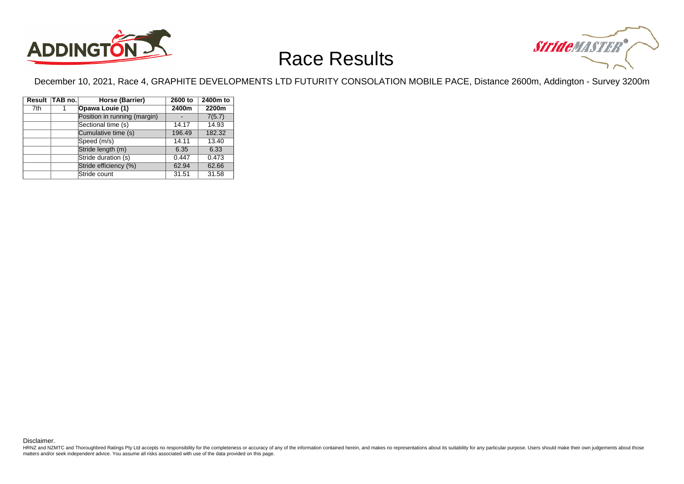



December 10, 2021, Race 4, GRAPHITE DEVELOPMENTS LTD FUTURITY CONSOLATION MOBILE PACE, Distance 2600m, Addington - Survey 3200m

|     | Result TAB no. | Horse (Barrier)              | 2600 to | 2400m to |
|-----|----------------|------------------------------|---------|----------|
| 7th |                | Opawa Louie (1)              | 2400m   | 2200m    |
|     |                | Position in running (margin) |         | 7(5.7)   |
|     |                | Sectional time (s)           | 14.17   | 14.93    |
|     |                | Cumulative time (s)          | 196.49  | 182.32   |
|     |                | Speed (m/s)                  | 14.11   | 13.40    |
|     |                | Stride length (m)            | 6.35    | 6.33     |
|     |                | Stride duration (s)          | 0.447   | 0.473    |
|     |                | Stride efficiency (%)        | 62.94   | 62.66    |
|     |                | Stride count                 | 31.51   | 31.58    |

Disclaimer.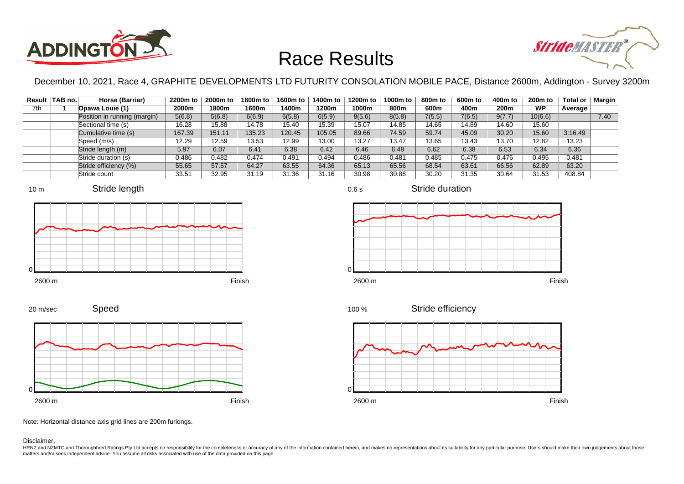



December 10, 2021, Race 4, GRAPHITE DEVELOPMENTS LTD FUTURITY CONSOLATION MOBILE PACE, Distance 2600m, Addington - Survey 3200m

|     | Result TAB no. | Horse (Barrier)              | 2200m to | 2000m to | 1800m to | 1600m to | 1400m to | 1200m to | 1000m to | 800 <sub>m</sub> to | 600 <sub>m</sub> to | 400m to | 200 <sub>m</sub> to | <b>Total or</b> | Margin |
|-----|----------------|------------------------------|----------|----------|----------|----------|----------|----------|----------|---------------------|---------------------|---------|---------------------|-----------------|--------|
| 7th |                | Opawa Louie (1)              | 2000m    | 1800m    | 1600m    | 1400m    | 1200m    | 1000m    | 800m     | 600m                | 400m                | 200m    | <b>WP</b>           | Average         |        |
|     |                | Position in running (margin) | 5(6.8)   | 5(6.8)   | 6(6.9)   | 6(5.8)   | 6(5.9)   | 8(5.6)   | 8(5.8)   | 7(5.5)              | 7(6.5)              | 9(7.7)  | 10(6.6)             |                 | 7.40   |
|     |                | Sectional time (s)           | 16.28    | 15.88    | 14.78    | 15.40    | 15.39    | 15.07    | 14.85    | 14.65               | 14.89               | 14.60   | 15.60               |                 |        |
|     |                | Cumulative time (s)          | 167.39   | 151.11   | 135.23   | 120.45   | 105.05   | 89.66    | 74.59    | 59.74               | 45.09               | 30.20   | 15.60               | 3:16.49         |        |
|     |                | Speed (m/s)                  | 12.29    | 12.59    | 13.53    | 12.99    | 13.00    | 13.27    | 13.47    | 13.65               | 13.43               | 13.70   | 12.82               | 13.23           |        |
|     |                | Stride length (m)            | 5.97     | 6.07     | 6.41     | 6.38     | 6.42     | 6.46     | 6.48     | 6.62                | 6.38                | 6.53    | 6.34                | 6.36            |        |
|     |                | Stride duration (s)          | 0.486    | 0.482    | 0.474    | 0.491    | 0.494    | 0.486    | 0.481    | 0.485               | 0.475               | 0.476   | 0.495               | 0.481           |        |
|     |                | Stride efficiency (%)        | 55.65    | 57.57    | 64.27    | 63.55    | 64.36    | 65.13    | 65.56    | 68.54               | 63.61               | 66.56   | 62.89               | 63.20           |        |
|     |                | Stride count                 | 33.51    | 32.95    | 31.19    | 31.36    | 31.16    | 30.98    | 30.88    | 30.20               | 31.35               | 30.64   | 31.53               | 408.84          |        |







Stride duration

Stride efficiency 100 %



Speed 20 m/sec



Note: Horizontal distance axis grid lines are 200m furlongs.

Disclaimer.

HRNZ and NZMTC and Thoroughbred Ratings Pty Ltd accepts no responsibility for the completeness or accuracy of any of the information contained herein, and makes no representations about its suitability for any particular p matters and/or seek independent advice. You assume all risks associated with use of the data provided on this page.

0.6 s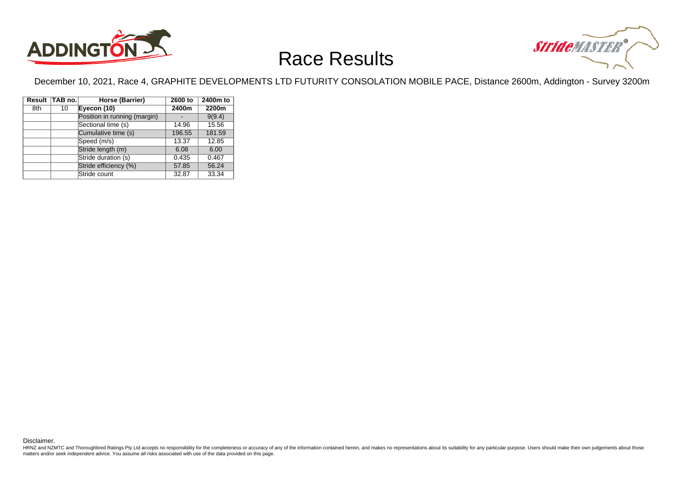



December 10, 2021, Race 4, GRAPHITE DEVELOPMENTS LTD FUTURITY CONSOLATION MOBILE PACE, Distance 2600m, Addington - Survey 3200m

|     | Result TAB no. | Horse (Barrier)              | 2600 to | 2400m to |
|-----|----------------|------------------------------|---------|----------|
| 8th | 10             | Eyecon (10)                  | 2400m   | 2200m    |
|     |                | Position in running (margin) |         | 9(9.4)   |
|     |                | Sectional time (s)           | 14.96   | 15.56    |
|     |                | Cumulative time (s)          | 196.55  | 181.59   |
|     |                | Speed (m/s)                  | 13.37   | 12.85    |
|     |                | Stride length (m)            | 6.08    | 6.00     |
|     |                | Stride duration (s)          | 0.435   | 0.467    |
|     |                | Stride efficiency (%)        | 57.85   | 56.24    |
|     |                | Stride count                 | 32.87   | 33.34    |

Disclaimer.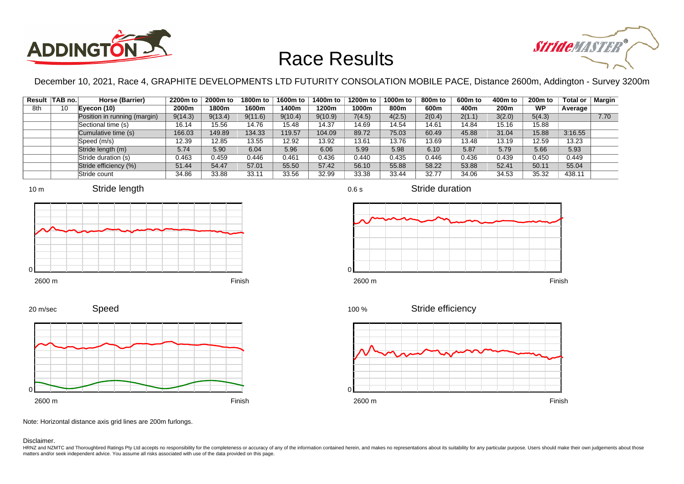



December 10, 2021, Race 4, GRAPHITE DEVELOPMENTS LTD FUTURITY CONSOLATION MOBILE PACE, Distance 2600m, Addington - Survey 3200m

|     | Result   TAB no. | Horse (Barrier)              | 2200m to | 2000m to | 1800m to | 1600m to | 1400m to | 1200m to | 1000m to | 800m to | 600m to | 400m to | 200 <sub>m</sub> to | <b>Total or</b> | <b>Margin</b> |
|-----|------------------|------------------------------|----------|----------|----------|----------|----------|----------|----------|---------|---------|---------|---------------------|-----------------|---------------|
| 8th | 10               | Evecon (10)                  | 2000m    | 1800m    | 1600m    | 1400m    | 1200m    | 1000m    | 800m     | 600m    | 400m    | 200m    | <b>WP</b>           | Average         |               |
|     |                  | Position in running (margin) | 9(14.3)  | 9(13.4)  | 9(11.6)  | 9(10.4)  | 9(10.9)  | 7(4.5)   | 4(2.5)   | 2(0.4)  | 2(1.1)  | 3(2.0)  | 5(4.3)              |                 | 7.70          |
|     |                  | Sectional time (s)           | 16.14    | 15.56    | 14.76    | 15.48    | 14.37    | 14.69    | 14.54    | 14.61   | 14.84   | 15.16   | 15.88               |                 |               |
|     |                  | Cumulative time (s)          | 166.03   | 149.89   | 134.33   | 119.57   | 104.09   | 89.72    | 75.03    | 60.49   | 45.88   | 31.04   | 15.88               | 3:16.55         |               |
|     |                  | Speed (m/s)                  | 12.39    | 12.85    | 13.55    | 12.92    | 13.92    | 13.61    | 13.76    | 13.69   | 13.48   | 13.19   | 12.59               | 13.23           |               |
|     |                  | Stride length (m)            | 5.74     | 5.90     | 6.04     | 5.96     | 6.06     | 5.99     | 5.98     | 6.10    | 5.87    | 5.79    | 5.66                | 5.93            |               |
|     |                  | Stride duration (s)          | 0.463    | 0.459    | 0.446    | 0.461    | 0.436    | 0.440    | 0.435    | 0.446   | 0.436   | 0.439   | 0.450               | 0.449           |               |
|     |                  | Stride efficiency (%)        | 51.44    | 54.47    | 57.01    | 55.50    | 57.42    | 56.10    | 55.88    | 58.22   | 53.88   | 52.41   | 50.11               | 55.04           |               |
|     |                  | Stride count                 | 34.86    | 33.88    | 33.11    | 33.56    | 32.99    | 33.38    | 33.44    | 32.77   | 34.06   | 34.53   | 35.32               | 438.11          |               |









Stride efficiency 100 %



Speed 20 m/sec



Note: Horizontal distance axis grid lines are 200m furlongs.

Disclaimer.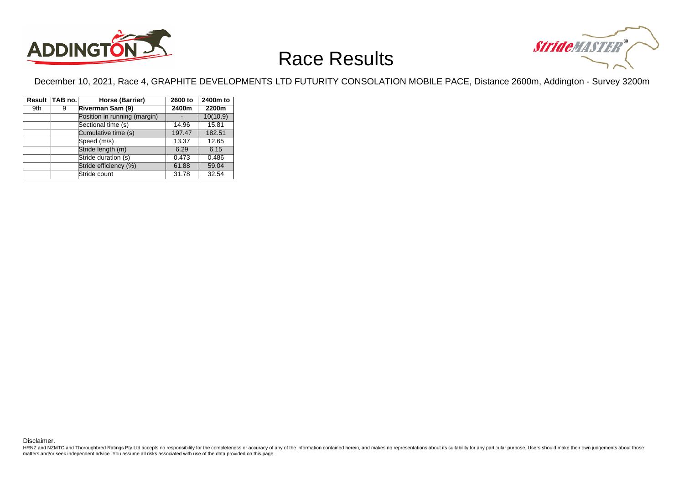



December 10, 2021, Race 4, GRAPHITE DEVELOPMENTS LTD FUTURITY CONSOLATION MOBILE PACE, Distance 2600m, Addington - Survey 3200m

|     | Result TAB no. | Horse (Barrier)              | 2600 to | 2400m to |
|-----|----------------|------------------------------|---------|----------|
| 9th | 9              | Riverman Sam (9)             | 2400m   | 2200m    |
|     |                | Position in running (margin) |         | 10(10.9) |
|     |                | Sectional time (s)           | 14.96   | 15.81    |
|     |                | Cumulative time (s)          | 197.47  | 182.51   |
|     |                | Speed (m/s)                  | 13.37   | 12.65    |
|     |                | Stride length (m)            | 6.29    | 6.15     |
|     |                | Stride duration (s)          | 0.473   | 0.486    |
|     |                | Stride efficiency (%)        | 61.88   | 59.04    |
|     |                | Stride count                 | 31.78   | 32.54    |

Disclaimer.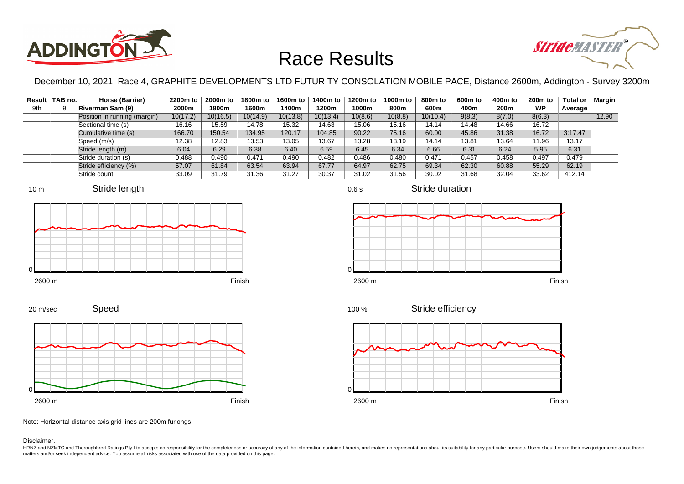



December 10, 2021, Race 4, GRAPHITE DEVELOPMENTS LTD FUTURITY CONSOLATION MOBILE PACE, Distance 2600m, Addington - Survey 3200m

|     | Result TAB no. | Horse (Barrier)              | 2200m to | 2000m to | 1800m to | 1600m to | 1400m to | 1200m to | 1000m to | 800m to  | 600m to | 400m to | 200 <sub>m</sub> to | Total or | Margin |
|-----|----------------|------------------------------|----------|----------|----------|----------|----------|----------|----------|----------|---------|---------|---------------------|----------|--------|
| 9th |                | Riverman Sam (9)             | 2000m    | 1800m    | 1600m    | 1400m    | 1200m    | 1000m    | 800m     | 600m     | 400m    | 200m    | <b>WP</b>           | Average  |        |
|     |                | Position in running (margin) | 10(17.2) | 10(16.5) | 10(14.9) | 10(13.8) | 10(13.4) | 10(8.6)  | 10(8.8)  | 10(10.4) | 9(8.3)  | 8(7.0)  | 8(6.3)              |          | 12.90  |
|     |                | Sectional time (s)           | 16.16    | 15.59    | 14.78    | 15.32    | 14.63    | 15.06    | 15.16    | 14.14    | 14.48   | 14.66   | 16.72               |          |        |
|     |                | Cumulative time (s)          | 166.70   | 150.54   | 134.95   | 120.17   | 104.85   | 90.22    | 75.16    | 60.00    | 45.86   | 31.38   | 16.72               | 3:17.47  |        |
|     |                | Speed (m/s)                  | 12.38    | 12.83    | 13.53    | 13.05    | 13.67    | 13.28    | 13.19    | 14.14    | 13.81   | 13.64   | 11.96               | 13.17    |        |
|     |                | Stride length (m)            | 6.04     | 6.29     | 6.38     | 6.40     | 6.59     | 6.45     | 6.34     | 6.66     | 6.31    | 6.24    | 5.95                | 6.31     |        |
|     |                | Stride duration (s)          | 0.488    | 0.490    | 0.471    | 0.490    | 0.482    | 0.486    | 0.480    | 0.471    | 0.457   | 0.458   | 0.497               | 0.479    |        |
|     |                | Stride efficiency (%)        | 57.07    | 61.84    | 63.54    | 63.94    | 67.77    | 64.97    | 62.75    | 69.34    | 62.30   | 60.88   | 55.29               | 62.19    |        |
|     |                | Stride count                 | 33.09    | 31.79    | 31.36    | 31.27    | 30.37    | 31.02    | 31.56    | 30.02    | 31.68   | 32.04   | 33.62               | 412.14   |        |









Stride duration

Speed 20 m/sec



Stride efficiency 100 %



Note: Horizontal distance axis grid lines are 200m furlongs.

Disclaimer.

HRNZ and NZMTC and Thoroughbred Ratings Pty Ltd accepts no responsibility for the completeness or accuracy of any of the information contained herein, and makes no representations about its suitability for any particular p matters and/or seek independent advice. You assume all risks associated with use of the data provided on this page.

0.6 s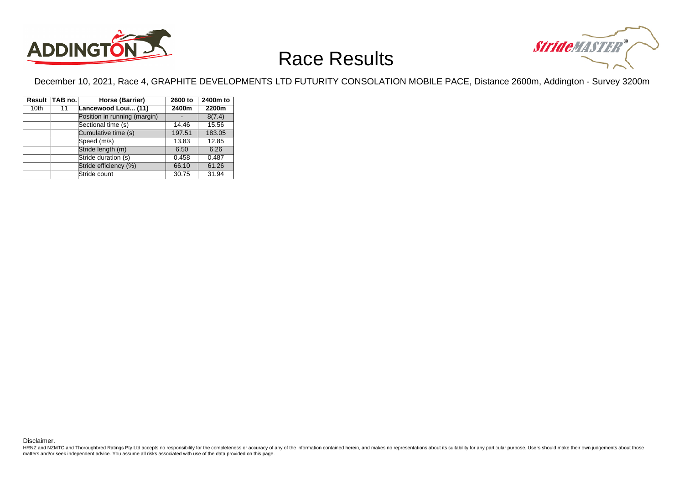



December 10, 2021, Race 4, GRAPHITE DEVELOPMENTS LTD FUTURITY CONSOLATION MOBILE PACE, Distance 2600m, Addington - Survey 3200m

| Result           | TAB no. | Horse (Barrier)              | 2600 to | 2400m to |
|------------------|---------|------------------------------|---------|----------|
| 10 <sub>th</sub> | 11      | Lancewood Loui (11)          | 2400m   | 2200m    |
|                  |         | Position in running (margin) |         | 8(7.4)   |
|                  |         | Sectional time (s)           | 14.46   | 15.56    |
|                  |         | Cumulative time (s)          | 197.51  | 183.05   |
|                  |         | Speed (m/s)                  | 13.83   | 12.85    |
|                  |         | Stride length (m)            | 6.50    | 6.26     |
|                  |         | Stride duration (s)          | 0.458   | 0.487    |
|                  |         | Stride efficiency (%)        | 66.10   | 61.26    |
|                  |         | Stride count                 | 30.75   | 31.94    |

Disclaimer.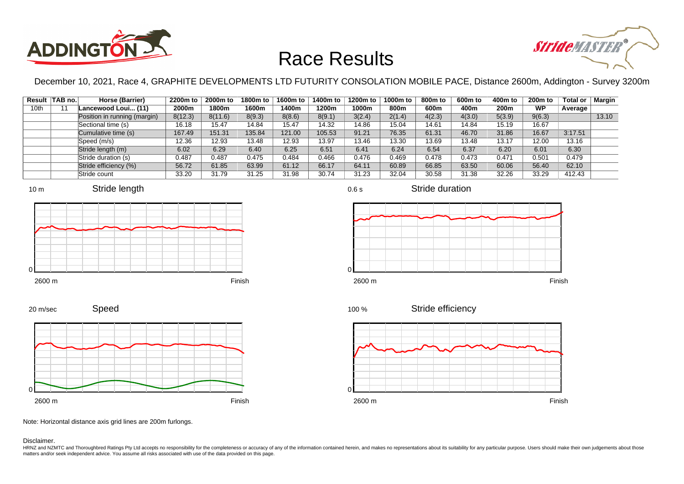



December 10, 2021, Race 4, GRAPHITE DEVELOPMENTS LTD FUTURITY CONSOLATION MOBILE PACE, Distance 2600m, Addington - Survey 3200m

|      | Result TAB no. | Horse (Barrier)              | 2200m to | 2000m to | 1800m to | 1600m to | 1400m to | 1200m to | 1000m to | 800 <sub>m</sub> to | 600 <sub>m</sub> to | 400m to | 200 <sub>m</sub> to | <b>Total or</b> | Margin |
|------|----------------|------------------------------|----------|----------|----------|----------|----------|----------|----------|---------------------|---------------------|---------|---------------------|-----------------|--------|
| 10th |                | Lancewood Loui (11)          | 2000m    | 1800m    | 1600m    | 1400m    | 1200m    | 1000m    | 800m     | 600m                | 400m                | 200m    | <b>WP</b>           | Average         |        |
|      |                | Position in running (margin) | 8(12.3)  | 8(11.6)  | 8(9.3)   | 8(8.6)   | 8(9.1)   | 3(2.4)   | 2(1.4)   | 4(2.3)              | 4(3.0)              | 5(3.9)  | 9(6.3)              |                 | 13.10  |
|      |                | Sectional time (s)           | 16.18    | 15.47    | 14.84    | 15.47    | 14.32    | 14.86    | 15.04    | 14.61               | 14.84               | 15.19   | 16.67               |                 |        |
|      |                | Cumulative time (s)          | 167.49   | 151.31   | 135.84   | 121.00   | 105.53   | 91.21    | 76.35    | 61.31               | 46.70               | 31.86   | 16.67               | 3:17.51         |        |
|      |                | Speed (m/s)                  | 12.36    | 12.93    | 13.48    | 12.93    | 13.97    | 13.46    | 13.30    | 13.69               | 13.48               | 13.17   | 12.00               | 13.16           |        |
|      |                | Stride length (m)            | 6.02     | 6.29     | 6.40     | 6.25     | 6.51     | 6.41     | 6.24     | 6.54                | 6.37                | 6.20    | 6.01                | 6.30            |        |
|      |                | Stride duration (s)          | 0.487    | 0.487    | 0.475    | 0.484    | 0.466    | 0.476    | 0.469    | 0.478               | 0.473               | 0.471   | 0.501               | 0.479           |        |
|      |                | Stride efficiency (%)        | 56.72    | 61.85    | 63.99    | 61.12    | 66.17    | 64.11    | 60.89    | 66.85               | 63.50               | 60.06   | 56.40               | 62.10           |        |
|      |                | Stride count                 | 33.20    | 31.79    | 31.25    | 31.98    | 30.74    | 31.23    | 32.04    | 30.58               | 31.38               | 32.26   | 33.29               | 412.43          |        |













Stride duration



Stride efficiency 100 %



Note: Horizontal distance axis grid lines are 200m furlongs.

Disclaimer.

0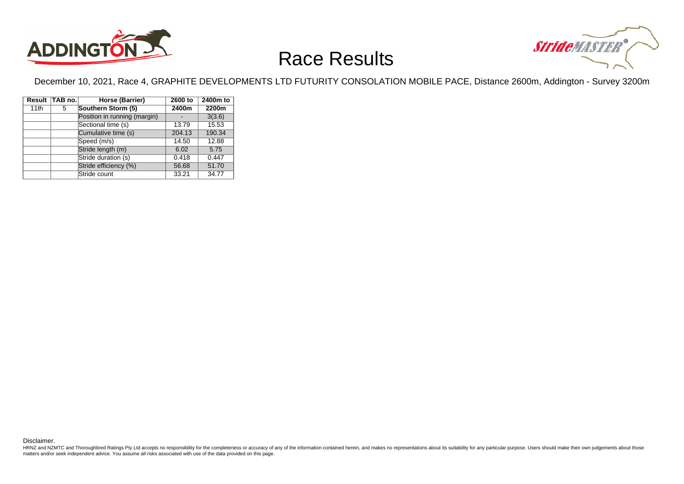



December 10, 2021, Race 4, GRAPHITE DEVELOPMENTS LTD FUTURITY CONSOLATION MOBILE PACE, Distance 2600m, Addington - Survey 3200m

|      | Result TAB no. | Horse (Barrier)              | 2600 to | 2400m to |
|------|----------------|------------------------------|---------|----------|
| 11th | 5              | Southern Storm (5)           | 2400m   | 2200m    |
|      |                | Position in running (margin) |         | 3(3.6)   |
|      |                | Sectional time (s)           | 13.79   | 15.53    |
|      |                | Cumulative time (s)          | 204.13  | 190.34   |
|      |                | Speed (m/s)                  | 14.50   | 12.88    |
|      |                | Stride length (m)            | 6.02    | 5.75     |
|      |                | Stride duration (s)          | 0.418   | 0.447    |
|      |                | Stride efficiency (%)        | 56.68   | 51.70    |
|      |                | Stride count                 | 33.21   | 34.77    |

Disclaimer.